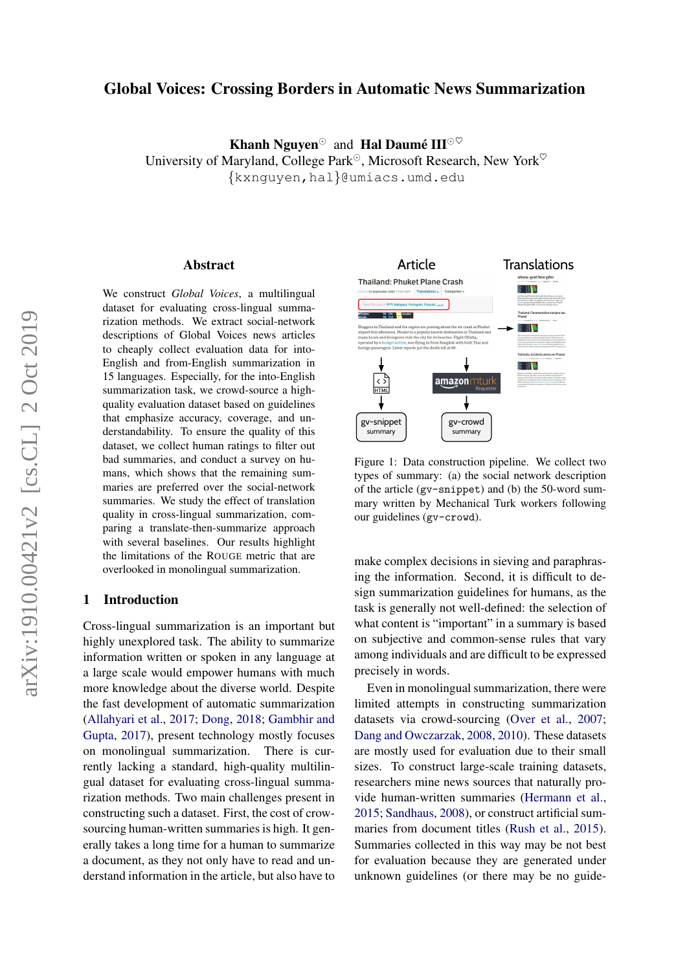# Global Voices: Crossing Borders in Automatic News Summarization

Khanh Nguyen<sup> $\odot$ </sup> and Hal Daumé III $\odot \heartsuit$ University of Maryland, College Park<sup> $\odot$ </sup>, Microsoft Research, New York<sup> $\heartsuit$ </sup> {kxnguyen,hal}@umiacs.umd.edu

#### Abstract

We construct *Global Voices*, a multilingual dataset for evaluating cross-lingual summarization methods. We extract social-network descriptions of Global Voices news articles to cheaply collect evaluation data for into-English and from-English summarization in 15 languages. Especially, for the into-English summarization task, we crowd-source a highquality evaluation dataset based on guidelines that emphasize accuracy, coverage, and understandability. To ensure the quality of this dataset, we collect human ratings to filter out bad summaries, and conduct a survey on humans, which shows that the remaining summaries are preferred over the social-network summaries. We study the effect of translation quality in cross-lingual summarization, comparing a translate-then-summarize approach with several baselines. Our results highlight the limitations of the ROUGE metric that are overlooked in monolingual summarization.

### 1 Introduction

Cross-lingual summarization is an important but highly unexplored task. The ability to summarize information written or spoken in any language at a large scale would empower humans with much more knowledge about the diverse world. Despite the fast development of automatic summarization [\(Allahyari et al.,](#page-6-0) [2017;](#page-6-0) [Dong,](#page-6-1) [2018;](#page-6-1) [Gambhir and](#page-6-2) [Gupta,](#page-6-2) [2017\)](#page-6-2), present technology mostly focuses on monolingual summarization. There is currently lacking a standard, high-quality multilingual dataset for evaluating cross-lingual summarization methods. Two main challenges present in constructing such a dataset. First, the cost of crowsourcing human-written summaries is high. It generally takes a long time for a human to summarize a document, as they not only have to read and understand information in the article, but also have to

<span id="page-0-0"></span>

Figure 1: Data construction pipeline. We collect two types of summary: (a) the social network description of the article (gv-snippet) and (b) the 50-word summary written by Mechanical Turk workers following our guidelines (gv-crowd).

make complex decisions in sieving and paraphrasing the information. Second, it is difficult to design summarization guidelines for humans, as the task is generally not well-defined: the selection of what content is "important" in a summary is based on subjective and common-sense rules that vary among individuals and are difficult to be expressed precisely in words.

Even in monolingual summarization, there were limited attempts in constructing summarization datasets via crowd-sourcing [\(Over et al.,](#page-6-3) [2007;](#page-6-3) [Dang and Owczarzak,](#page-6-4) [2008,](#page-6-4) [2010\)](#page-6-5). These datasets are mostly used for evaluation due to their small sizes. To construct large-scale training datasets, researchers mine news sources that naturally provide human-written summaries [\(Hermann et al.,](#page-6-6) [2015;](#page-6-6) [Sandhaus,](#page-6-7) [2008\)](#page-6-7), or construct artificial summaries from document titles [\(Rush et al.,](#page-6-8) [2015\)](#page-6-8). Summaries collected in this way may be not best for evaluation because they are generated under unknown guidelines (or there may be no guide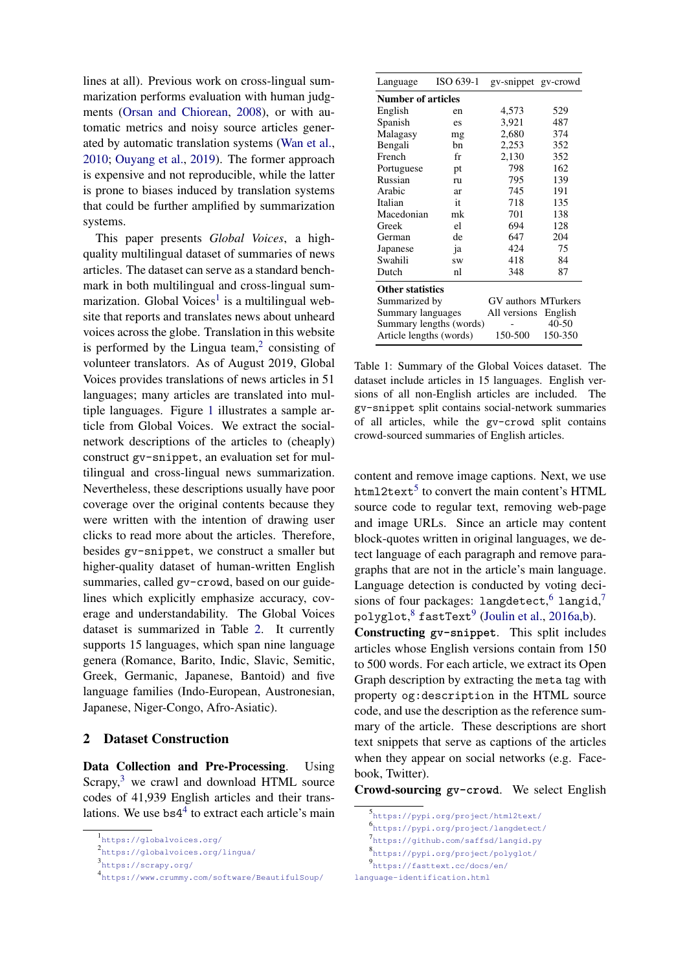lines at all). Previous work on cross-lingual summarization performs evaluation with human judgments [\(Orsan and Chiorean,](#page-6-9) [2008\)](#page-6-9), or with automatic metrics and noisy source articles generated by automatic translation systems [\(Wan et al.,](#page-7-0) [2010;](#page-7-0) [Ouyang et al.,](#page-6-10) [2019\)](#page-6-10). The former approach is expensive and not reproducible, while the latter is prone to biases induced by translation systems that could be further amplified by summarization systems.

This paper presents *Global Voices*, a highquality multilingual dataset of summaries of news articles. The dataset can serve as a standard benchmark in both multilingual and cross-lingual sum-marization. Global Voices<sup>[1](#page-1-0)</sup> is a multilingual website that reports and translates news about unheard voices across the globe. Translation in this website is performed by the Lingua team, $2$  consisting of volunteer translators. As of August 2019, Global Voices provides translations of news articles in 51 languages; many articles are translated into multiple languages. Figure [1](#page-0-0) illustrates a sample article from Global Voices. We extract the socialnetwork descriptions of the articles to (cheaply) construct gv-snippet, an evaluation set for multilingual and cross-lingual news summarization. Nevertheless, these descriptions usually have poor coverage over the original contents because they were written with the intention of drawing user clicks to read more about the articles. Therefore, besides gv-snippet, we construct a smaller but higher-quality dataset of human-written English summaries, called gv-crowd, based on our guidelines which explicitly emphasize accuracy, coverage and understandability. The Global Voices dataset is summarized in Table [2.](#page-4-0) It currently supports 15 languages, which span nine language genera (Romance, Barito, Indic, Slavic, Semitic, Greek, Germanic, Japanese, Bantoid) and five language families (Indo-European, Austronesian, Japanese, Niger-Congo, Afro-Asiatic).

## 2 Dataset Construction

Data Collection and Pre-Processing. Using  $S$ crapy, $3$  we crawl and download HTML source codes of 41,939 English articles and their translations. We use  $bs4<sup>4</sup>$  $bs4<sup>4</sup>$  $bs4<sup>4</sup>$  to extract each article's main

| Language                  | ISO 639-1 | gv-snippet gv-crowd |           |  |  |  |
|---------------------------|-----------|---------------------|-----------|--|--|--|
| <b>Number of articles</b> |           |                     |           |  |  |  |
| English                   | en        | 4,573               | 529       |  |  |  |
| Spanish                   | es        | 3,921               | 487       |  |  |  |
| Malagasy                  | mg        | 2,680               | 374       |  |  |  |
| Bengali                   | bn        | 2,253               | 352       |  |  |  |
| French                    | fr        | 2,130               | 352       |  |  |  |
| Portuguese                | pt        | 798                 | 162       |  |  |  |
| Russian                   | ru        | 795                 | 139       |  |  |  |
| Arabic                    | ar        | 745                 | 191       |  |  |  |
| Italian                   | it        | 718                 | 135       |  |  |  |
| Macedonian                | mk        | 701                 | 138       |  |  |  |
| Greek                     | el        | 694                 | 128       |  |  |  |
| German                    | de        | 647                 | 204       |  |  |  |
| Japanese                  | ja        | 424                 | 75        |  |  |  |
| Swahili                   | <b>SW</b> | 418                 | 84        |  |  |  |
| Dutch                     | nl        | 348                 | 87        |  |  |  |
| <b>Other statistics</b>   |           |                     |           |  |  |  |
| Summarized by             |           | GV authors MTurkers |           |  |  |  |
| Summary languages         |           | All versions        | English   |  |  |  |
| Summary lengths (words)   |           |                     | $40 - 50$ |  |  |  |
| Article lengths (words)   |           | 150-500             | 150-350   |  |  |  |

Table 1: Summary of the Global Voices dataset. The dataset include articles in 15 languages. English versions of all non-English articles are included. The gv-snippet split contains social-network summaries of all articles, while the gv-crowd split contains crowd-sourced summaries of English articles.

content and remove image captions. Next, we use html2text<sup>[5](#page-1-4)</sup> to convert the main content's HTML source code to regular text, removing web-page and image URLs. Since an article may content block-quotes written in original languages, we detect language of each paragraph and remove paragraphs that are not in the article's main language. Language detection is conducted by voting decisions of four packages: langdetect,  $6$  langid,  $\operatorname{\texttt{polyglot}},^8$  $\operatorname{\texttt{polyglot}},^8$  fastText $^9$  $^9$  [\(Joulin et al.,](#page-6-11) [2016a](#page-6-11)[,b\)](#page-6-12).

Constructing **gv-snippet**. This split includes articles whose English versions contain from 150 to 500 words. For each article, we extract its Open Graph description by extracting the meta tag with property og:description in the HTML source code, and use the description as the reference summary of the article. These descriptions are short text snippets that serve as captions of the articles when they appear on social networks (e.g. Facebook, Twitter).

Crowd-sourcing **gv-crowd**. We select English

```
language-identification.html
```
<span id="page-1-0"></span><sup>1</sup> <https://globalvoices.org/>

<span id="page-1-1"></span><sup>2</sup> <https://globalvoices.org/lingua/>

<span id="page-1-2"></span><sup>3</sup> <https://scrapy.org/>

<span id="page-1-3"></span><sup>4</sup> <https://www.crummy.com/software/BeautifulSoup/>

<span id="page-1-4"></span><sup>5</sup> <https://pypi.org/project/html2text/>

<span id="page-1-5"></span><sup>6</sup> <https://pypi.org/project/langdetect/>

<span id="page-1-7"></span><span id="page-1-6"></span><sup>7</sup> <https://github.com/saffsd/langid.py>

<sup>8</sup> <https://pypi.org/project/polyglot/>

<span id="page-1-8"></span><sup>9</sup> [https://fasttext.cc/docs/en/](https://fasttext.cc/docs/en/language-identification.html)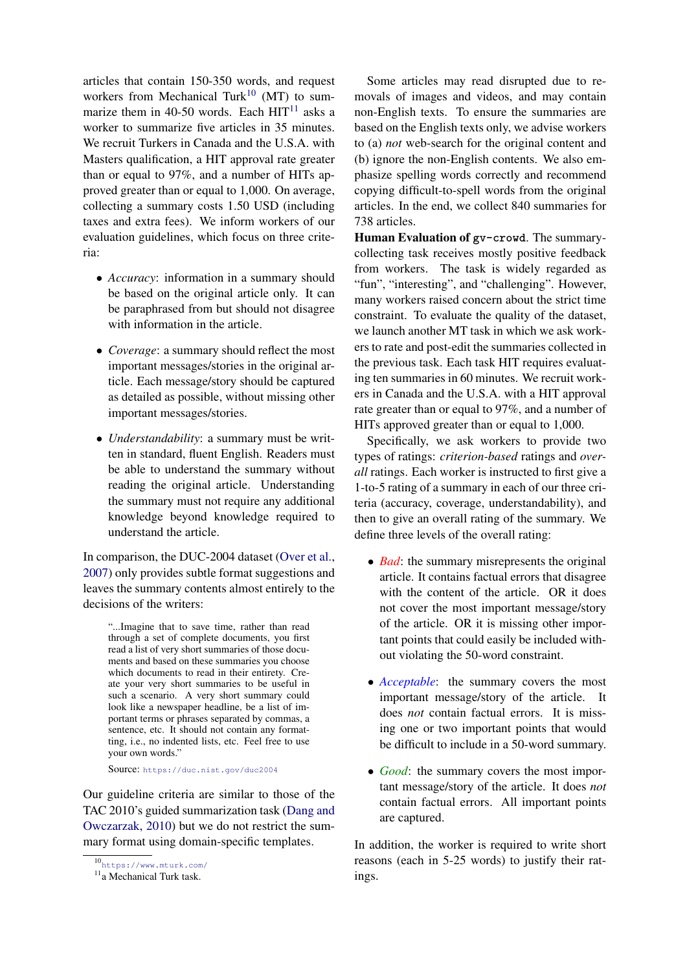articles that contain 150-350 words, and request workers from Mechanical Turk<sup>[10](#page-2-0)</sup> (MT) to summarize them in 40-50 words. Each  $HIT<sup>11</sup>$  $HIT<sup>11</sup>$  $HIT<sup>11</sup>$  asks a worker to summarize five articles in 35 minutes. We recruit Turkers in Canada and the U.S.A. with Masters qualification, a HIT approval rate greater than or equal to 97%, and a number of HITs approved greater than or equal to 1,000. On average, collecting a summary costs 1.50 USD (including taxes and extra fees). We inform workers of our evaluation guidelines, which focus on three criteria:

- *Accuracy*: information in a summary should be based on the original article only. It can be paraphrased from but should not disagree with information in the article.
- *Coverage*: a summary should reflect the most important messages/stories in the original article. Each message/story should be captured as detailed as possible, without missing other important messages/stories.
- *Understandability*: a summary must be written in standard, fluent English. Readers must be able to understand the summary without reading the original article. Understanding the summary must not require any additional knowledge beyond knowledge required to understand the article.

In comparison, the DUC-2004 dataset [\(Over et al.,](#page-6-3) [2007\)](#page-6-3) only provides subtle format suggestions and leaves the summary contents almost entirely to the decisions of the writers:

"...Imagine that to save time, rather than read through a set of complete documents, you first read a list of very short summaries of those documents and based on these summaries you choose which documents to read in their entirety. Create your very short summaries to be useful in such a scenario. A very short summary could look like a newspaper headline, be a list of important terms or phrases separated by commas, a sentence, etc. It should not contain any formatting, i.e., no indented lists, etc. Feel free to use your own words."

Source: <https://duc.nist.gov/duc2004>

Our guideline criteria are similar to those of the TAC 2010's guided summarization task [\(Dang and](#page-6-5) [Owczarzak,](#page-6-5) [2010\)](#page-6-5) but we do not restrict the summary format using domain-specific templates.

Some articles may read disrupted due to removals of images and videos, and may contain non-English texts. To ensure the summaries are based on the English texts only, we advise workers to (a) *not* web-search for the original content and (b) ignore the non-English contents. We also emphasize spelling words correctly and recommend copying difficult-to-spell words from the original articles. In the end, we collect 840 summaries for 738 articles.

Human Evaluation of **gv-crowd**. The summarycollecting task receives mostly positive feedback from workers. The task is widely regarded as "fun", "interesting", and "challenging". However, many workers raised concern about the strict time constraint. To evaluate the quality of the dataset, we launch another MT task in which we ask workers to rate and post-edit the summaries collected in the previous task. Each task HIT requires evaluating ten summaries in 60 minutes. We recruit workers in Canada and the U.S.A. with a HIT approval rate greater than or equal to 97%, and a number of HITs approved greater than or equal to 1,000.

Specifically, we ask workers to provide two types of ratings: *criterion-based* ratings and *overall* ratings. Each worker is instructed to first give a 1-to-5 rating of a summary in each of our three criteria (accuracy, coverage, understandability), and then to give an overall rating of the summary. We define three levels of the overall rating:

- *Bad*: the summary misrepresents the original article. It contains factual errors that disagree with the content of the article. OR it does not cover the most important message/story of the article. OR it is missing other important points that could easily be included without violating the 50-word constraint.
- *Acceptable*: the summary covers the most important message/story of the article. It does *not* contain factual errors. It is missing one or two important points that would be difficult to include in a 50-word summary.
- *Good*: the summary covers the most important message/story of the article. It does *not* contain factual errors. All important points are captured.

In addition, the worker is required to write short reasons (each in 5-25 words) to justify their ratings.

<span id="page-2-0"></span><sup>10</sup><https://www.mturk.com/>

<span id="page-2-1"></span><sup>&</sup>lt;sup>11</sup>a Mechanical Turk task.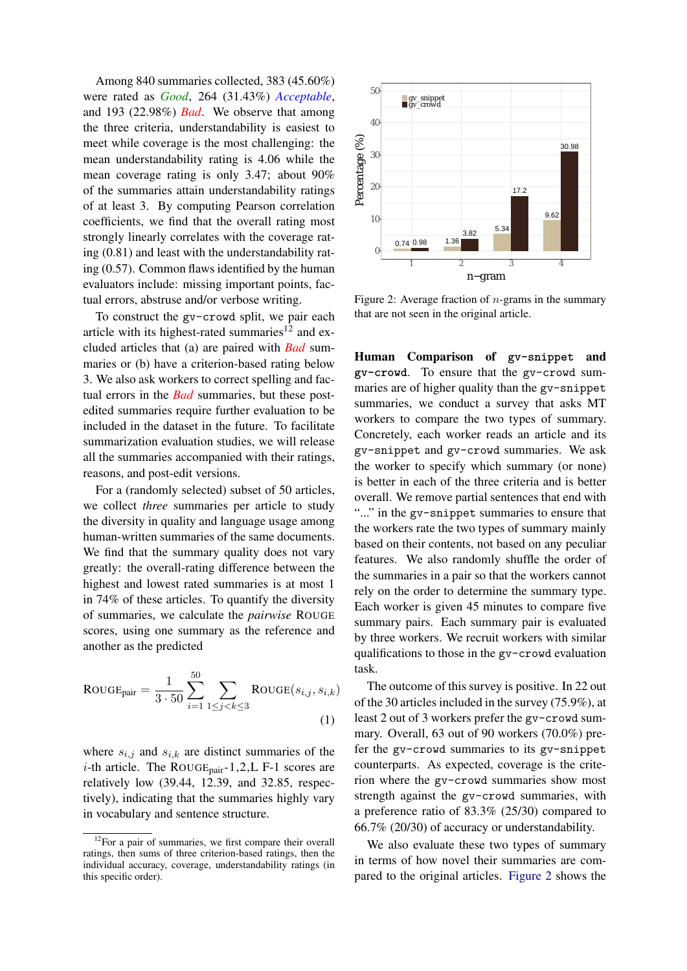Among 840 summaries collected, 383 (45.60%) were rated as *Good*, 264 (31.43%) *Acceptable*, and 193 (22.98%) *Bad*. We observe that among the three criteria, understandability is easiest to meet while coverage is the most challenging: the mean understandability rating is 4.06 while the mean coverage rating is only 3.47; about 90% of the summaries attain understandability ratings of at least 3. By computing Pearson correlation coefficients, we find that the overall rating most strongly linearly correlates with the coverage rating (0.81) and least with the understandability rating (0.57). Common flaws identified by the human evaluators include: missing important points, factual errors, abstruse and/or verbose writing.

To construct the gv-crowd split, we pair each article with its highest-rated summaries<sup>[12](#page-3-0)</sup> and excluded articles that (a) are paired with *Bad* summaries or (b) have a criterion-based rating below 3. We also ask workers to correct spelling and factual errors in the *Bad* summaries, but these postedited summaries require further evaluation to be included in the dataset in the future. To facilitate summarization evaluation studies, we will release all the summaries accompanied with their ratings, reasons, and post-edit versions.

For a (randomly selected) subset of 50 articles, we collect *three* summaries per article to study the diversity in quality and language usage among human-written summaries of the same documents. We find that the summary quality does not vary greatly: the overall-rating difference between the highest and lowest rated summaries is at most 1 in 74% of these articles. To quantify the diversity of summaries, we calculate the *pairwise* ROUGE scores, using one summary as the reference and another as the predicted

$$
ROUGE_{pair} = \frac{1}{3 \cdot 50} \sum_{i=1}^{50} \sum_{1 \le j < k \le 3} ROUGE(s_{i,j}, s_{i,k})
$$
\n(1)

where  $s_{i,j}$  and  $s_{i,k}$  are distinct summaries of the *i*-th article. The ROUGE<sub>pair</sub>-1,2,L F-1 scores are relatively low (39.44, 12.39, and 32.85, respectively), indicating that the summaries highly vary in vocabulary and sentence structure.

<span id="page-3-1"></span>

Figure 2: Average fraction of  $n$ -grams in the summary that are not seen in the original article.

Human Comparison of **gv-snippet** and **gv-crowd**. To ensure that the gv-crowd summaries are of higher quality than the gv-snippet summaries, we conduct a survey that asks MT workers to compare the two types of summary. Concretely, each worker reads an article and its gv-snippet and gv-crowd summaries. We ask the worker to specify which summary (or none) is better in each of the three criteria and is better overall. We remove partial sentences that end with "..." in the gv-snippet summaries to ensure that the workers rate the two types of summary mainly based on their contents, not based on any peculiar features. We also randomly shuffle the order of the summaries in a pair so that the workers cannot rely on the order to determine the summary type. Each worker is given 45 minutes to compare five summary pairs. Each summary pair is evaluated by three workers. We recruit workers with similar qualifications to those in the gv-crowd evaluation task.

The outcome of this survey is positive. In 22 out of the 30 articles included in the survey (75.9%), at least 2 out of 3 workers prefer the gv-crowd summary. Overall, 63 out of 90 workers (70.0%) prefer the gv-crowd summaries to its gv-snippet counterparts. As expected, coverage is the criterion where the gv-crowd summaries show most strength against the gv-crowd summaries, with a preference ratio of 83.3% (25/30) compared to 66.7% (20/30) of accuracy or understandability.

We also evaluate these two types of summary in terms of how novel their summaries are compared to the original articles. [Figure 2](#page-3-1) shows the

<span id="page-3-0"></span><sup>&</sup>lt;sup>12</sup>For a pair of summaries, we first compare their overall ratings, then sums of three criterion-based ratings, then the individual accuracy, coverage, understandability ratings (in this specific order).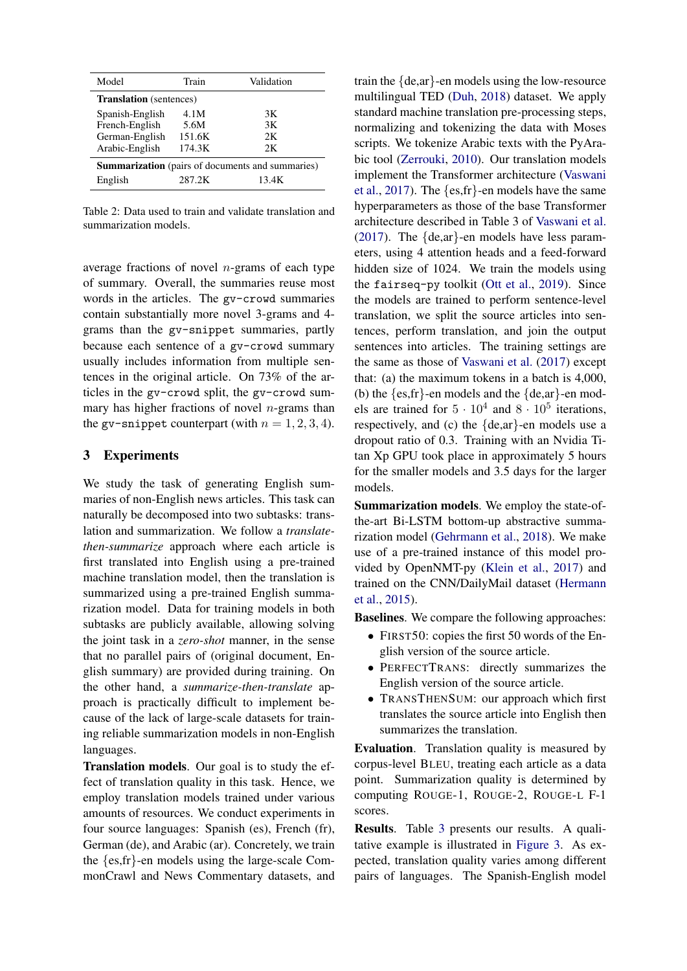<span id="page-4-0"></span>

| Model                                                   | Train  | Validation |  |  |  |  |
|---------------------------------------------------------|--------|------------|--|--|--|--|
| <b>Translation</b> (sentences)                          |        |            |  |  |  |  |
| Spanish-English                                         | 4.1M   | 3K         |  |  |  |  |
| French-English                                          | 5.6M   | 3K         |  |  |  |  |
| German-English                                          | 151.6K | 2K         |  |  |  |  |
| Arabic-English                                          | 174.3K | 2K         |  |  |  |  |
| <b>Summarization</b> (pairs of documents and summaries) |        |            |  |  |  |  |
| English                                                 | 287.2K | 13.4K      |  |  |  |  |

Table 2: Data used to train and validate translation and summarization models.

average fractions of novel  $n$ -grams of each type of summary. Overall, the summaries reuse most words in the articles. The gv-crowd summaries contain substantially more novel 3-grams and 4 grams than the gv-snippet summaries, partly because each sentence of a gv-crowd summary usually includes information from multiple sentences in the original article. On 73% of the articles in the gv-crowd split, the gv-crowd summary has higher fractions of novel  $n$ -grams than the gv-snippet counterpart (with  $n = 1, 2, 3, 4$ ).

### 3 Experiments

We study the task of generating English summaries of non-English news articles. This task can naturally be decomposed into two subtasks: translation and summarization. We follow a *translatethen-summarize* approach where each article is first translated into English using a pre-trained machine translation model, then the translation is summarized using a pre-trained English summarization model. Data for training models in both subtasks are publicly available, allowing solving the joint task in a *zero-shot* manner, in the sense that no parallel pairs of (original document, English summary) are provided during training. On the other hand, a *summarize-then-translate* approach is practically difficult to implement because of the lack of large-scale datasets for training reliable summarization models in non-English languages.

Translation models. Our goal is to study the effect of translation quality in this task. Hence, we employ translation models trained under various amounts of resources. We conduct experiments in four source languages: Spanish (es), French (fr), German (de), and Arabic (ar). Concretely, we train the {es,fr}-en models using the large-scale CommonCrawl and News Commentary datasets, and train the {de,ar}-en models using the low-resource multilingual TED [\(Duh,](#page-6-13) [2018\)](#page-6-13) dataset. We apply standard machine translation pre-processing steps, normalizing and tokenizing the data with Moses scripts. We tokenize Arabic texts with the PyArabic tool [\(Zerrouki,](#page-7-1) [2010\)](#page-7-1). Our translation models implement the Transformer architecture [\(Vaswani](#page-6-14) [et al.,](#page-6-14) [2017\)](#page-6-14). The {es,fr}-en models have the same hyperparameters as those of the base Transformer architecture described in Table 3 of [Vaswani et al.](#page-6-14) [\(2017\)](#page-6-14). The {de,ar}-en models have less parameters, using 4 attention heads and a feed-forward hidden size of 1024. We train the models using the fairseq-py toolkit [\(Ott et al.,](#page-6-15) [2019\)](#page-6-15). Since the models are trained to perform sentence-level translation, we split the source articles into sentences, perform translation, and join the output sentences into articles. The training settings are the same as those of [Vaswani et al.](#page-6-14) [\(2017\)](#page-6-14) except that: (a) the maximum tokens in a batch is 4,000, (b) the  $\{es, fr\}$ -en models and the  $\{de, ar\}$ -en models are trained for  $5 \cdot 10^4$  and  $8 \cdot 10^5$  iterations, respectively, and (c) the {de,ar}-en models use a dropout ratio of 0.3. Training with an Nvidia Titan Xp GPU took place in approximately 5 hours for the smaller models and 3.5 days for the larger models.

Summarization models. We employ the state-ofthe-art Bi-LSTM bottom-up abstractive summarization model [\(Gehrmann et al.,](#page-6-16) [2018\)](#page-6-16). We make use of a pre-trained instance of this model provided by OpenNMT-py [\(Klein et al.,](#page-6-17) [2017\)](#page-6-17) and trained on the CNN/DailyMail dataset [\(Hermann](#page-6-6) [et al.,](#page-6-6) [2015\)](#page-6-6).

Baselines. We compare the following approaches:

- FIRST50: copies the first 50 words of the English version of the source article.
- PERFECTTRANS: directly summarizes the English version of the source article.
- TRANSTHENSUM: our approach which first translates the source article into English then summarizes the translation.

Evaluation. Translation quality is measured by corpus-level BLEU, treating each article as a data point. Summarization quality is determined by computing ROUGE-1, ROUGE-2, ROUGE-L F-1 scores.

Results. Table [3](#page-5-0) presents our results. A qualitative example is illustrated in [Figure 3.](#page-5-1) As expected, translation quality varies among different pairs of languages. The Spanish-English model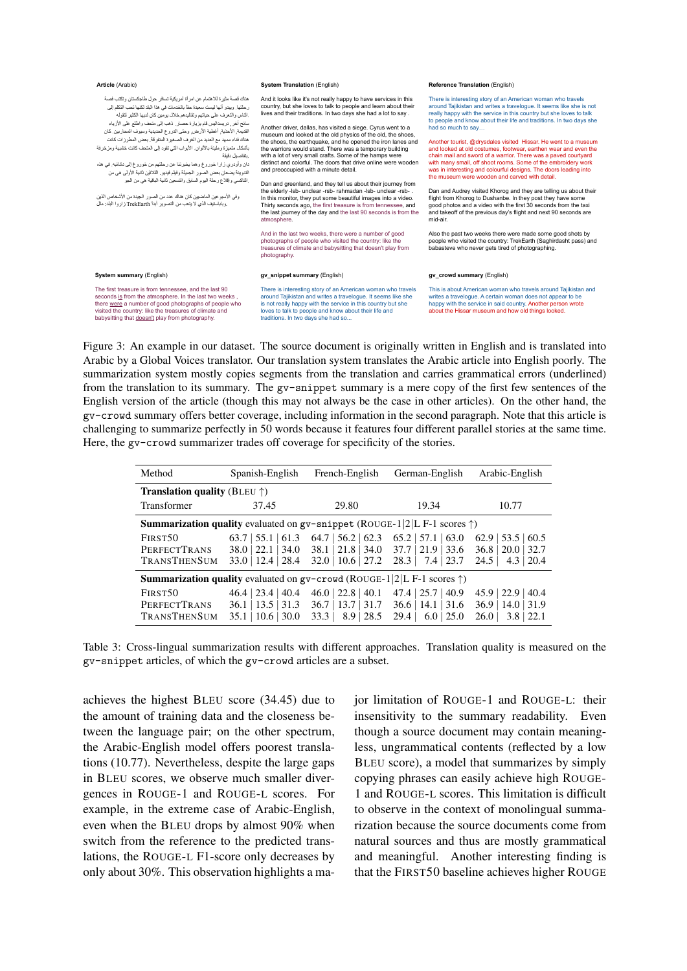<span id="page-5-1"></span>

| Article (Arabic)<br><b>System Translation (English)</b>                                                                                                                                                                                                                                                                                                                                                                                                                                                                                                                                                                                                                                                                                                                                                                                                                                                                                                     |                                                                                                                                                                                                                                                                                                                                                                                                                                                                                                                                                                                                                                                                                                                                                                                                                                                                                                                                                                                                                                                                                                                                                                                              | Reference Translation (English)                                                                                                                                                                                                                                                                                                                                                                                                                                                                                                                                                                                                                                                                                                                                                                                                                                                                                                                                                                                                                                                                                                                                                    |  |
|-------------------------------------------------------------------------------------------------------------------------------------------------------------------------------------------------------------------------------------------------------------------------------------------------------------------------------------------------------------------------------------------------------------------------------------------------------------------------------------------------------------------------------------------------------------------------------------------------------------------------------------------------------------------------------------------------------------------------------------------------------------------------------------------------------------------------------------------------------------------------------------------------------------------------------------------------------------|----------------------------------------------------------------------------------------------------------------------------------------------------------------------------------------------------------------------------------------------------------------------------------------------------------------------------------------------------------------------------------------------------------------------------------------------------------------------------------------------------------------------------------------------------------------------------------------------------------------------------------------------------------------------------------------------------------------------------------------------------------------------------------------------------------------------------------------------------------------------------------------------------------------------------------------------------------------------------------------------------------------------------------------------------------------------------------------------------------------------------------------------------------------------------------------------|------------------------------------------------------------------------------------------------------------------------------------------------------------------------------------------------------------------------------------------------------------------------------------------------------------------------------------------------------------------------------------------------------------------------------------------------------------------------------------------------------------------------------------------------------------------------------------------------------------------------------------------------------------------------------------------------------------------------------------------------------------------------------------------------------------------------------------------------------------------------------------------------------------------------------------------------------------------------------------------------------------------------------------------------------------------------------------------------------------------------------------------------------------------------------------|--|
| هناك قصة مثيرة للاهتمام عن امر أة أمريكية تسافر حول طاجكستان وتكتب فصة<br>ر حلتها. ويبدو أنها ليست سعيدة حقًّا بالخدمات في هذا البلد لكنها تحب التكلم إلى<br>الناس والتعرف على حياتهم وتقاليدهم خلال يومين كان لديها الكثير لتقوله<br>سانح أخر دريسداليس قام بزيارة حصار فحب إلى متحف واطلع على الأزياء<br>القديمة. الأحذية. أغطية الأرض. وحتى الدروع الحديدية وسيوف المحاربين. كان<br>هناك فناء ممهد مع العديد من الغرف الصغير ة المتفرقة. بعض المطرزات كانت<br>بأشكال متميزة ومليئة بالألوان. الأبواب التي تقود إلى المتحف كانت خشيبة ومزخرفة<br>بتفاصيل دقيقة<br>دان وأودر ي زار ا خوروغ و هما يخبر ننا عن رحلتهم من خوروغ إلى دشانبه. في هذه<br>النَّدوينة يضعان بعض الصور   الجميلة وفيلم فيديو . الثَّلاثين ثانية الأولى هي من<br>ِ النّاكسي وإقلاع رحلة اليوم السابق والتسعين ثانية الباقية هي من الجو<br>وفي الأسبو عين الماضيين كان هناك عدد من الصور الجيدة من الأشخاص الذين<br>وباباستيف الذي لا يتعب من التصوير أبدا TrekEarth زاروا البلد: مثل | And it looks like it's not really happy to have services in this<br>country, but she loves to talk to people and learn about their<br>lives and their traditions. In two days she had a lot to say.<br>Another driver, dallas, has visited a siege. Cyrus went to a<br>museum and looked at the old physics of the old, the shoes,<br>the shoes, the earthquake, and he opened the iron lanes and<br>the warriors would stand. There was a temporary building<br>with a lot of very small crafts. Some of the hamps were<br>distinct and colorful. The doors that drive online were wooden<br>and preoccupied with a minute detail.<br>Dan and greenland, and they tell us about their journey from<br>the elderly -lsb- unclear -rsb- rahmadan -lsb- unclear -rsb-.<br>In this monitor, they put some beautiful images into a video.<br>Thirty seconds ago, the first treasure is from tennessee, and<br>the last journey of the day and the last 90 seconds is from the<br>atmosphere.<br>And in the last two weeks, there were a number of good<br>photographs of people who visited the country: like the<br>treasures of climate and babysitting that doesn't play from<br>photography. | There is interesting story of an American woman who travels<br>around Tajikistan and writes a travelogue. It seems like she is not<br>really happy with the service in this country but she loves to talk<br>to people and know about their life and traditions. In two days she<br>had so much to say<br>Another tourist, @drysdales visited Hissar. He went to a museum<br>and looked at old costumes, footwear, earthen wear and even the<br>chain mail and sword of a warrior. There was a paved courtyard<br>with many small, off shoot rooms. Some of the embroidery work<br>was in interesting and colourful designs. The doors leading into<br>the museum were wooden and carved with detail.<br>Dan and Audrey visited Khorog and they are telling us about their<br>flight from Khorog to Dushanbe. In they post they have some<br>good photos and a video with the first 30 seconds from the taxi<br>and takeoff of the previous day's flight and next 90 seconds are<br>mid-air.<br>Also the past two weeks there were made some good shots by<br>people who visited the country: TrekEarth (Saghirdasht pass) and<br>babasteve who never gets tired of photographing. |  |
| System summary (English)                                                                                                                                                                                                                                                                                                                                                                                                                                                                                                                                                                                                                                                                                                                                                                                                                                                                                                                                    | gv snippet summary (English)                                                                                                                                                                                                                                                                                                                                                                                                                                                                                                                                                                                                                                                                                                                                                                                                                                                                                                                                                                                                                                                                                                                                                                 | gv crowd summary (English)                                                                                                                                                                                                                                                                                                                                                                                                                                                                                                                                                                                                                                                                                                                                                                                                                                                                                                                                                                                                                                                                                                                                                         |  |
| The first treasure is from tennessee, and the last 90<br>seconds is from the atmosphere. In the last two weeks,<br>there were a number of good photographs of people who<br>visited the country: like the treasures of climate and<br>babysitting that doesn't play from photography.                                                                                                                                                                                                                                                                                                                                                                                                                                                                                                                                                                                                                                                                       | There is interesting story of an American woman who travels<br>around Tajikistan and writes a travelogue. It seems like she<br>is not really happy with the service in this country but she<br>loves to talk to people and know about their life and<br>traditions. In two days she had so                                                                                                                                                                                                                                                                                                                                                                                                                                                                                                                                                                                                                                                                                                                                                                                                                                                                                                   | This is about American woman who travels around Tajikistan and<br>writes a travelogue. A certain woman does not appear to be<br>happy with the service in said country. Another person wrote<br>about the Hissar museum and how old things looked.                                                                                                                                                                                                                                                                                                                                                                                                                                                                                                                                                                                                                                                                                                                                                                                                                                                                                                                                 |  |

Figure 3: An example in our dataset. The source document is originally written in English and is translated into Arabic by a Global Voices translator. Our translation system translates the Arabic article into English poorly. The summarization system mostly copies segments from the translation and carries grammatical errors (underlined) from the translation to its summary. The gv-snippet summary is a mere copy of the first few sentences of the English version of the article (though this may not always be the case in other articles). On the other hand, the gv-crowd summary offers better coverage, including information in the second paragraph. Note that this article is challenging to summarize perfectly in 50 words because it features four different parallel stories at the same time. Here, the gv-crowd summarizer trades off coverage for specificity of the stories.

<span id="page-5-0"></span>

| Method                                                                                       | Spanish-English            | French-English          | German-English                             | Arabic-English             |  |  |  |
|----------------------------------------------------------------------------------------------|----------------------------|-------------------------|--------------------------------------------|----------------------------|--|--|--|
| <b>Translation quality</b> (BLEU $\uparrow$ )                                                |                            |                         |                                            |                            |  |  |  |
| <b>Transformer</b>                                                                           | 37.45                      | 29.80                   | 19.34                                      | 10.77                      |  |  |  |
| <b>Summarization quality</b> evaluated on $gv$ -snippet (ROUGE-1 2 L F-1 scores $\uparrow$ ) |                            |                         |                                            |                            |  |  |  |
| FIRST50                                                                                      | $63.7 \mid 55.1 \mid 61.3$ | $64.7$   56.2   62.3    | $65.2$   57.1   63.0                       | $62.9$   53.5   60.5       |  |  |  |
| <b>PERFECTTRANS</b>                                                                          | $38.0$   22.1   34.0       |                         | $38.1   21.8   34.0 \t 37.7   21.9   33.6$ | $36.8 \mid 20.0 \mid 32.7$ |  |  |  |
| <b>TRANSTHENSUM</b>                                                                          | $33.0$   12.4   28.4       | $32.0$   10.6   27.2    | $28.3$   7.4   23.7                        | 24.5<br>$4.3 \mid 20.4$    |  |  |  |
| <b>Summarization quality</b> evaluated on $gv$ -crowd (ROUGE-1 2 L F-1 scores $\uparrow$ )   |                            |                         |                                            |                            |  |  |  |
| FIRST50                                                                                      | $46.4$   23.4   40.4       | $46.0$   22.8   40.1    | $47.4$   25.7   40.9                       | $45.9$   22.9   40.4       |  |  |  |
| <b>PERFECTTRANS</b>                                                                          | $36.1$   13.5   31.3       | $36.7$   13.7   31.7    | 31.6<br>$36.6$   14.1                      | 36.9<br>$14.0$   31.9      |  |  |  |
| <b>TRANSTHENSUM</b>                                                                          | $35.1 \pm 10.6 \pm 30.0$   | $8.9 \mid 28.5$<br>33.3 | $6.0$   25.0<br>29.4                       | $3.8 \perp 22.1$<br>26.0   |  |  |  |

Table 3: Cross-lingual summarization results with different approaches. Translation quality is measured on the gv-snippet articles, of which the gv-crowd articles are a subset.

achieves the highest BLEU score (34.45) due to the amount of training data and the closeness between the language pair; on the other spectrum, the Arabic-English model offers poorest translations (10.77). Nevertheless, despite the large gaps in BLEU scores, we observe much smaller divergences in ROUGE-1 and ROUGE-L scores. For example, in the extreme case of Arabic-English, even when the BLEU drops by almost 90% when switch from the reference to the predicted translations, the ROUGE-L F1-score only decreases by only about 30%. This observation highlights a major limitation of ROUGE-1 and ROUGE-L: their insensitivity to the summary readability. Even though a source document may contain meaningless, ungrammatical contents (reflected by a low BLEU score), a model that summarizes by simply copying phrases can easily achieve high ROUGE-1 and ROUGE-L scores. This limitation is difficult to observe in the context of monolingual summarization because the source documents come from natural sources and thus are mostly grammatical and meaningful. Another interesting finding is that the FIRST50 baseline achieves higher ROUGE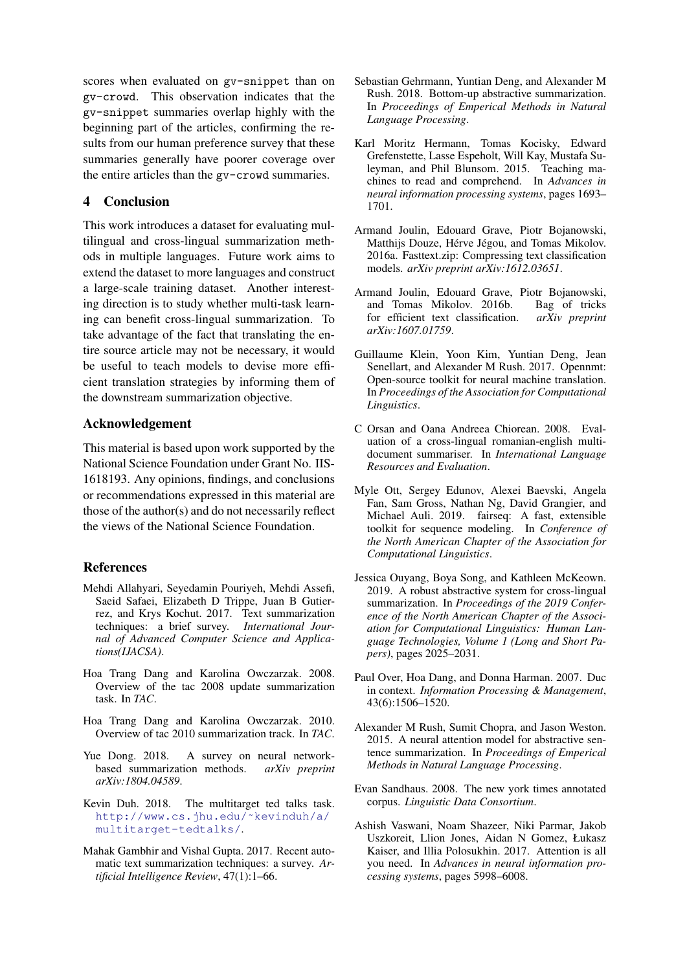scores when evaluated on gv-snippet than on gv-crowd. This observation indicates that the gv-snippet summaries overlap highly with the beginning part of the articles, confirming the results from our human preference survey that these summaries generally have poorer coverage over the entire articles than the gv-crowd summaries.

## 4 Conclusion

This work introduces a dataset for evaluating multilingual and cross-lingual summarization methods in multiple languages. Future work aims to extend the dataset to more languages and construct a large-scale training dataset. Another interesting direction is to study whether multi-task learning can benefit cross-lingual summarization. To take advantage of the fact that translating the entire source article may not be necessary, it would be useful to teach models to devise more efficient translation strategies by informing them of the downstream summarization objective.

## Acknowledgement

This material is based upon work supported by the National Science Foundation under Grant No. IIS-1618193. Any opinions, findings, and conclusions or recommendations expressed in this material are those of the author(s) and do not necessarily reflect the views of the National Science Foundation.

#### References

- <span id="page-6-0"></span>Mehdi Allahyari, Seyedamin Pouriyeh, Mehdi Assefi, Saeid Safaei, Elizabeth D Trippe, Juan B Gutierrez, and Krys Kochut. 2017. Text summarization techniques: a brief survey. *International Journal of Advanced Computer Science and Applications(IJACSA)*.
- <span id="page-6-4"></span>Hoa Trang Dang and Karolina Owczarzak. 2008. Overview of the tac 2008 update summarization task. In *TAC*.
- <span id="page-6-5"></span>Hoa Trang Dang and Karolina Owczarzak. 2010. Overview of tac 2010 summarization track. In *TAC*.
- <span id="page-6-1"></span>Yue Dong. 2018. A survey on neural networkbased summarization methods. *arXiv preprint arXiv:1804.04589*.
- <span id="page-6-13"></span>Kevin Duh. 2018. The multitarget ted talks task. [http://www.cs.jhu.edu/˜kevinduh/a/](http://www.cs.jhu.edu/~kevinduh/a/multitarget-tedtalks/) [multitarget-tedtalks/](http://www.cs.jhu.edu/~kevinduh/a/multitarget-tedtalks/).
- <span id="page-6-2"></span>Mahak Gambhir and Vishal Gupta. 2017. Recent automatic text summarization techniques: a survey. *Artificial Intelligence Review*, 47(1):1–66.
- <span id="page-6-16"></span>Sebastian Gehrmann, Yuntian Deng, and Alexander M Rush. 2018. Bottom-up abstractive summarization. In *Proceedings of Emperical Methods in Natural Language Processing*.
- <span id="page-6-6"></span>Karl Moritz Hermann, Tomas Kocisky, Edward Grefenstette, Lasse Espeholt, Will Kay, Mustafa Suleyman, and Phil Blunsom. 2015. Teaching machines to read and comprehend. In *Advances in neural information processing systems*, pages 1693– 1701.
- <span id="page-6-11"></span>Armand Joulin, Edouard Grave, Piotr Bojanowski, Matthijs Douze, Hérve Jégou, and Tomas Mikolov. 2016a. Fasttext.zip: Compressing text classification models. *arXiv preprint arXiv:1612.03651*.
- <span id="page-6-12"></span>Armand Joulin, Edouard Grave, Piotr Bojanowski, and Tomas Mikolov. 2016b. Bag of tricks for efficient text classification. *arXiv preprint arXiv:1607.01759*.
- <span id="page-6-17"></span>Guillaume Klein, Yoon Kim, Yuntian Deng, Jean Senellart, and Alexander M Rush. 2017. Opennmt: Open-source toolkit for neural machine translation. In *Proceedings of the Association for Computational Linguistics*.
- <span id="page-6-9"></span>C Orsan and Oana Andreea Chiorean. 2008. Evaluation of a cross-lingual romanian-english multidocument summariser. In *International Language Resources and Evaluation*.
- <span id="page-6-15"></span>Myle Ott, Sergey Edunov, Alexei Baevski, Angela Fan, Sam Gross, Nathan Ng, David Grangier, and Michael Auli. 2019. fairseq: A fast, extensible toolkit for sequence modeling. In *Conference of the North American Chapter of the Association for Computational Linguistics*.
- <span id="page-6-10"></span>Jessica Ouyang, Boya Song, and Kathleen McKeown. 2019. A robust abstractive system for cross-lingual summarization. In *Proceedings of the 2019 Conference of the North American Chapter of the Association for Computational Linguistics: Human Language Technologies, Volume 1 (Long and Short Papers)*, pages 2025–2031.
- <span id="page-6-3"></span>Paul Over, Hoa Dang, and Donna Harman. 2007. Duc in context. *Information Processing & Management*, 43(6):1506–1520.
- <span id="page-6-8"></span>Alexander M Rush, Sumit Chopra, and Jason Weston. 2015. A neural attention model for abstractive sentence summarization. In *Proceedings of Emperical Methods in Natural Language Processing*.
- <span id="page-6-7"></span>Evan Sandhaus. 2008. The new york times annotated corpus. *Linguistic Data Consortium*.
- <span id="page-6-14"></span>Ashish Vaswani, Noam Shazeer, Niki Parmar, Jakob Uszkoreit, Llion Jones, Aidan N Gomez, Łukasz Kaiser, and Illia Polosukhin. 2017. Attention is all you need. In *Advances in neural information processing systems*, pages 5998–6008.